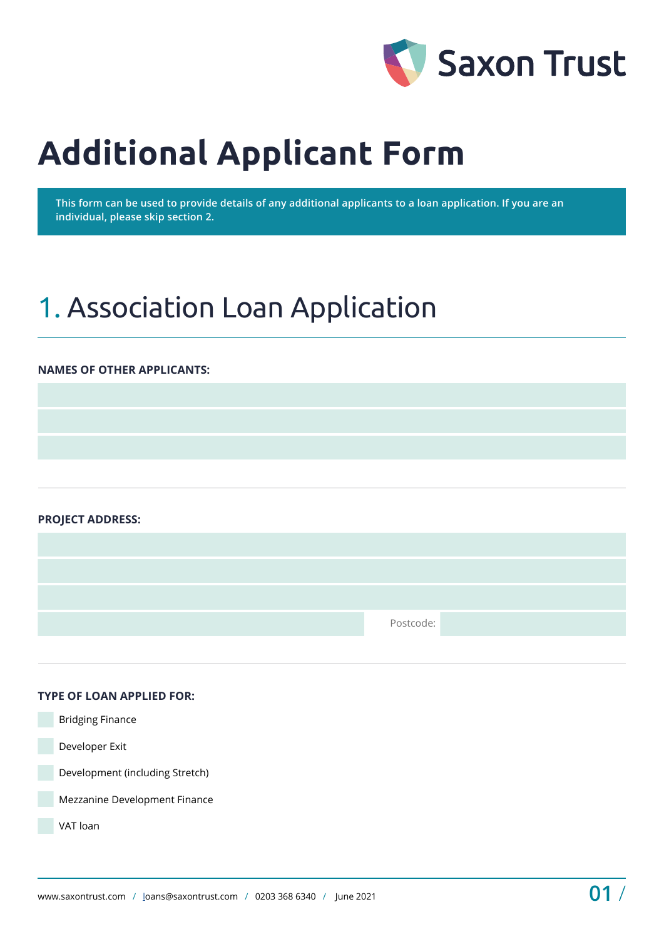

# **Additional Applicant Form**

**This form can be used to provide details of any additional applicants to a loan application. If you are an individual, please skip section 2.** 

# 1. Association Loan Application

#### **NAMES OF OTHER APPLICANTS:**

**PROJECT ADDRESS:** 

Postcode:

#### **TYPE OF LOAN APPLIED FOR:**

 Bridging Finance Developer Exit Development (including Stretch) Mezzanine Development Finance VAT loan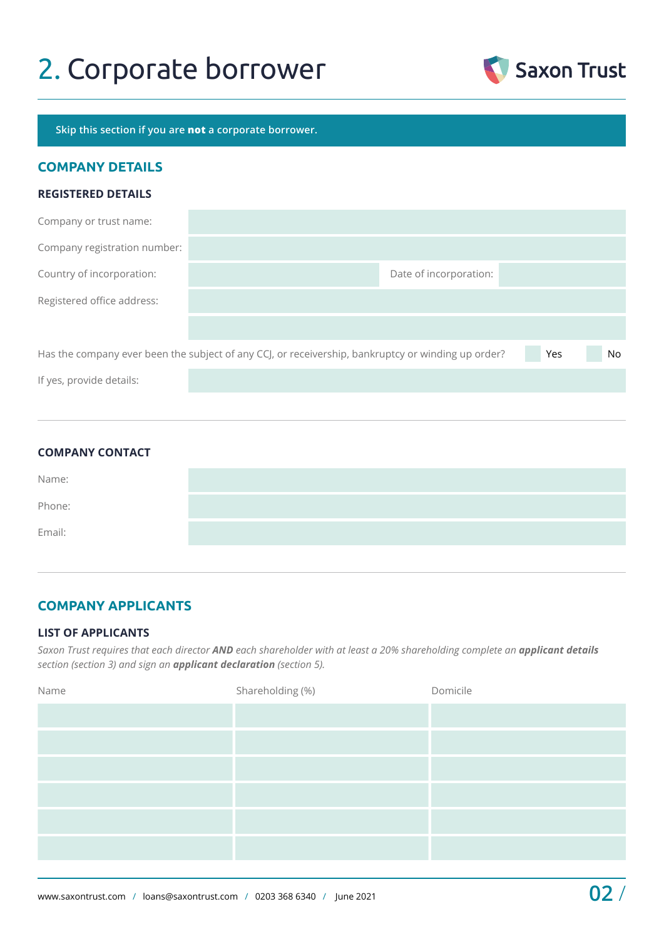# 2. Corporate borrower



**Skip this section if you are not a corporate borrower.**

## **COMPANY DETAILS**

#### **REGISTERED DETAILS**

| Company or trust name:       |                                                                                                    |     |     |
|------------------------------|----------------------------------------------------------------------------------------------------|-----|-----|
| Company registration number: |                                                                                                    |     |     |
| Country of incorporation:    | Date of incorporation:                                                                             |     |     |
| Registered office address:   |                                                                                                    |     |     |
|                              |                                                                                                    |     |     |
|                              | Has the company ever been the subject of any CCJ, or receivership, bankruptcy or winding up order? | Yes | No. |
| If yes, provide details:     |                                                                                                    |     |     |

| <b>COMPANY CONTACT</b> |  |  |
|------------------------|--|--|
| Name:                  |  |  |
| Phone:                 |  |  |
| Email:                 |  |  |

## **COMPANY APPLICANTS**

#### **LIST OF APPLICANTS**

*Saxon Trust requires that each director AND each shareholder with at least a 20% shareholding complete an applicant details section (section 3) and sign an applicant declaration (section 5).*

| Name | Shareholding (%) | Domicile |
|------|------------------|----------|
|      |                  |          |
|      |                  |          |
|      |                  |          |
|      |                  |          |
|      |                  |          |
|      |                  |          |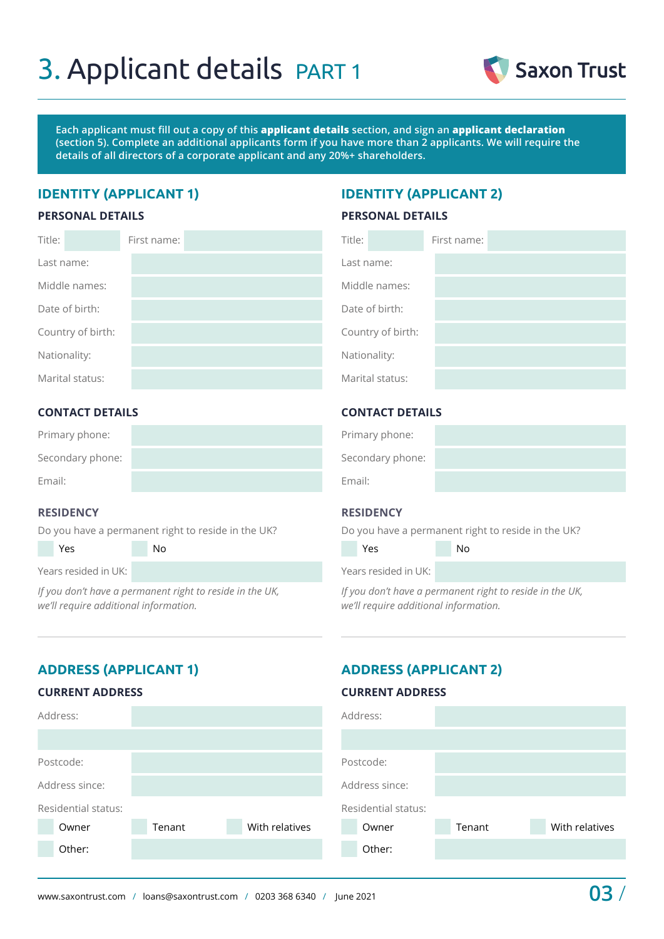# 3. Applicant details PART 1



**Each applicant must fill out a copy of this applicant details section, and sign an applicant declaration (section 5). Complete an additional applicants form if you have more than 2 applicants. We will require the details of all directors of a corporate applicant and any 20%+ shareholders.**

## **IDENTITY (APPLICANT 1) IDENTITY (APPLICANT 2)**

#### **PERSONAL DETAILS**

#### **PERSONAL DETAILS**

| Title:            | First name: | Title:            | First name: |
|-------------------|-------------|-------------------|-------------|
| Last name:        |             | Last name:        |             |
| Middle names:     |             | Middle names:     |             |
| Date of birth:    |             | Date of birth:    |             |
| Country of birth: |             | Country of birth: |             |
| Nationality:      |             | Nationality:      |             |
| Marital status:   |             | Marital status:   |             |

### **CONTACT DETAILS**

| Primary phone:   |  |
|------------------|--|
| Secondary phone: |  |
| Email:           |  |

#### **RESIDENCY**

Do you have a permanent right to reside in the UK?

Yes No

Years resided in UK:

*If you don't have a permanent right to reside in the UK, we'll require additional information.* 

### **CONTACT DETAILS**

| Primary phone:   |  |
|------------------|--|
| Secondary phone: |  |
| Email:           |  |

#### **RESIDENCY**

Do you have a permanent right to reside in the UK?

| Yes                  | Nο |  |
|----------------------|----|--|
| Years resided in UK: |    |  |

*If you don't have a permanent right to reside in the UK, we'll require additional information.* 

# **ADDRESS (APPLICANT 1) ADDRESS (APPLICANT 2)**

#### **CURRENT ADDRESS**

### **CURRENT ADDRESS**

| Address:            |        |                | Address:            |        |                |
|---------------------|--------|----------------|---------------------|--------|----------------|
|                     |        |                |                     |        |                |
| Postcode:           |        |                | Postcode:           |        |                |
| Address since:      |        |                | Address since:      |        |                |
| Residential status: |        |                | Residential status: |        |                |
| Owner               | Tenant | With relatives | Owner               | Tenant | With relatives |
| Other:              |        |                | Other:              |        |                |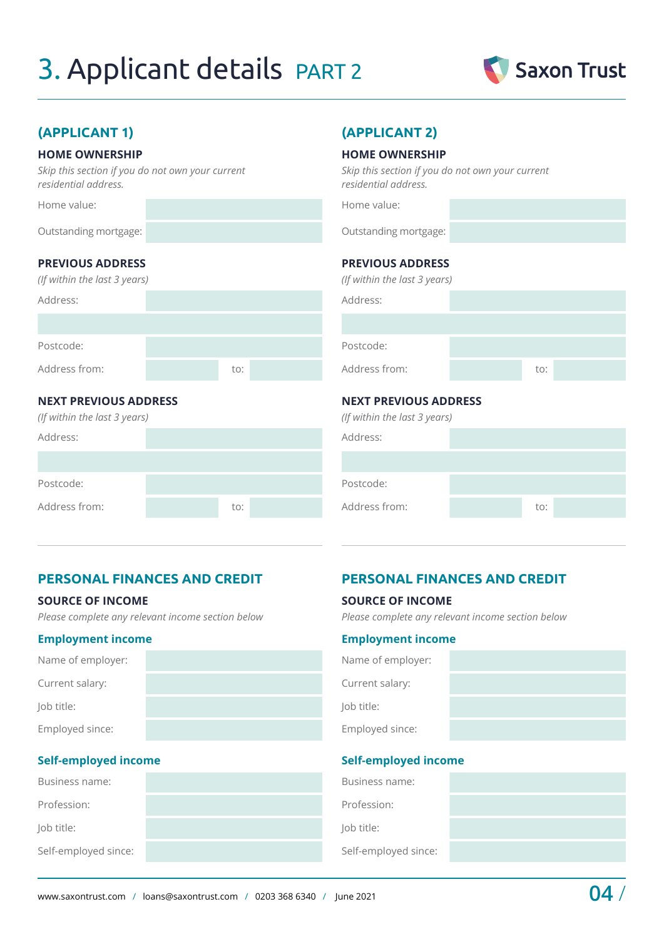# 3. Applicant details PART 2



# **(APPLICANT 1) (APPLICANT 2)**

#### **HOME OWNERSHIP**

*Skip this section if you do not own your current residential address.*

Home value:

Outstanding mortgage:

## **PREVIOUS ADDRESS**

| (If within the last 3 years) |     |  |
|------------------------------|-----|--|
| Address:                     |     |  |
|                              |     |  |
|                              |     |  |
| Postcode:                    |     |  |
| Address from:                | to: |  |
|                              |     |  |

### **NEXT PREVIOUS ADDRESS**

*(If within the last 3 years)*

| Address:      |     |  |
|---------------|-----|--|
|               |     |  |
| Postcode:     |     |  |
| Address from: | to: |  |

#### **HOME OWNERSHIP**

*Skip this section if you do not own your current residential address.*

Home value:

Outstanding mortgage:

### **PREVIOUS ADDRESS**

| (If within the last 3 years) |     |  |
|------------------------------|-----|--|
| Address:                     |     |  |
|                              |     |  |
| Postcode:                    |     |  |
| Address from:                | to: |  |
| .                            |     |  |

#### **NEXT PREVIOUS ADDRESS**

|  | (If within the last 3 years) |  |
|--|------------------------------|--|
|  |                              |  |

**SOURCE OF INCOME** 

**Employment income**

**Self-employed income**

Name of employer:

Current salary:

Employed since:

Job title:

| Address:      |     |  |
|---------------|-----|--|
|               |     |  |
| Postcode:     |     |  |
| Address from: | to: |  |
|               |     |  |

*Please complete any relevant income section below*

## **PERSONAL FINANCES AND CREDIT PERSONAL FINANCES AND CREDIT**

#### **SOURCE OF INCOME**

*Please complete any relevant income section below*

### **Employment income**

| Name of employer: |  |
|-------------------|--|
| Current salary:   |  |
| Job title:        |  |
| Employed since:   |  |

### **Self-employed income**

| Business name:       | Business name:       |
|----------------------|----------------------|
| Profession:          | Profession:          |
| Job title:           | Job title:           |
| Self-employed since: | Self-employed since: |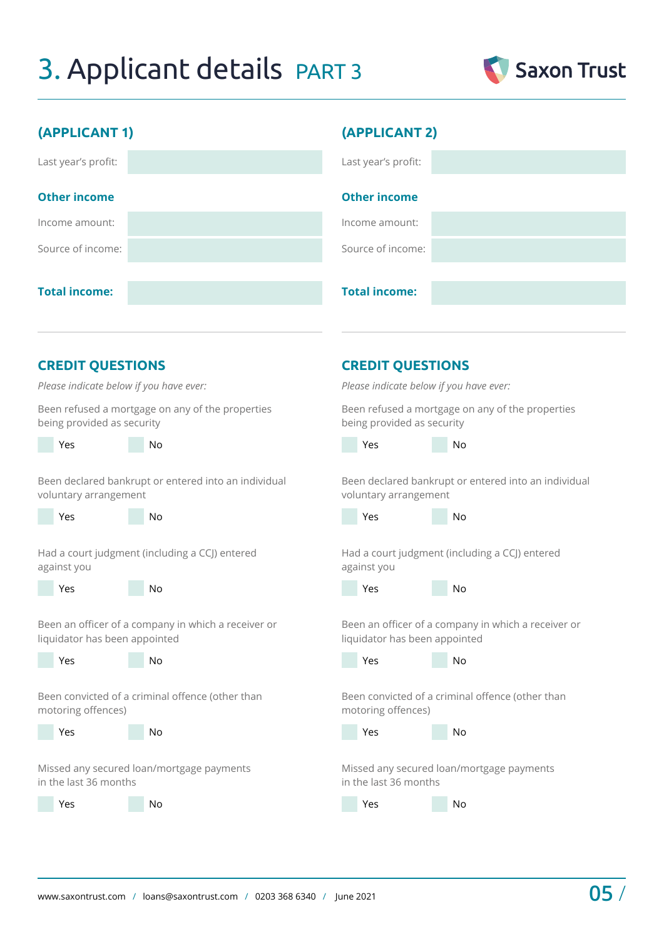# 3. Applicant details PART 3



| (APPLICANT 1)                                        | (APPLICANT 2)                                        |
|------------------------------------------------------|------------------------------------------------------|
| Last year's profit:                                  | Last year's profit:                                  |
| <b>Other income</b>                                  | <b>Other income</b>                                  |
| Income amount:                                       | Income amount:                                       |
| Source of income:                                    | Source of income:                                    |
| <b>Total income:</b>                                 | <b>Total income:</b>                                 |
| <b>CREDIT QUESTIONS</b>                              | <b>CREDIT QUESTIONS</b>                              |
| Please indicate below if you have ever:              | Please indicate below if you have ever:              |
| Been refused a mortgage on any of the properties     | Been refused a mortgage on any of the properties     |
| being provided as security                           | being provided as security                           |
| Yes                                                  | Yes                                                  |
| No                                                   | <b>No</b>                                            |
| Been declared bankrupt or entered into an individual | Been declared bankrupt or entered into an individual |
| voluntary arrangement                                | voluntary arrangement                                |
| Yes                                                  | Yes                                                  |
| <b>No</b>                                            | <b>No</b>                                            |
| Had a court judgment (including a CCJ) entered       | Had a court judgment (including a CCJ) entered       |
| against you                                          | against you                                          |
| No                                                   | No                                                   |
| Yes                                                  | Yes                                                  |
| Been an officer of a company in which a receiver or  | Been an officer of a company in which a receiver or  |
| liquidator has been appointed                        | liquidator has been appointed                        |
| No                                                   | No                                                   |
| Yes                                                  | Yes                                                  |
| Been convicted of a criminal offence (other than     | Been convicted of a criminal offence (other than     |
| motoring offences)                                   | motoring offences)                                   |
| Yes                                                  | Yes                                                  |
| No                                                   | No                                                   |

Missed any secured loan/mortgage payments in the last 36 months

Yes No

Missed any secured loan/mortgage payments

in the last 36 months

Yes No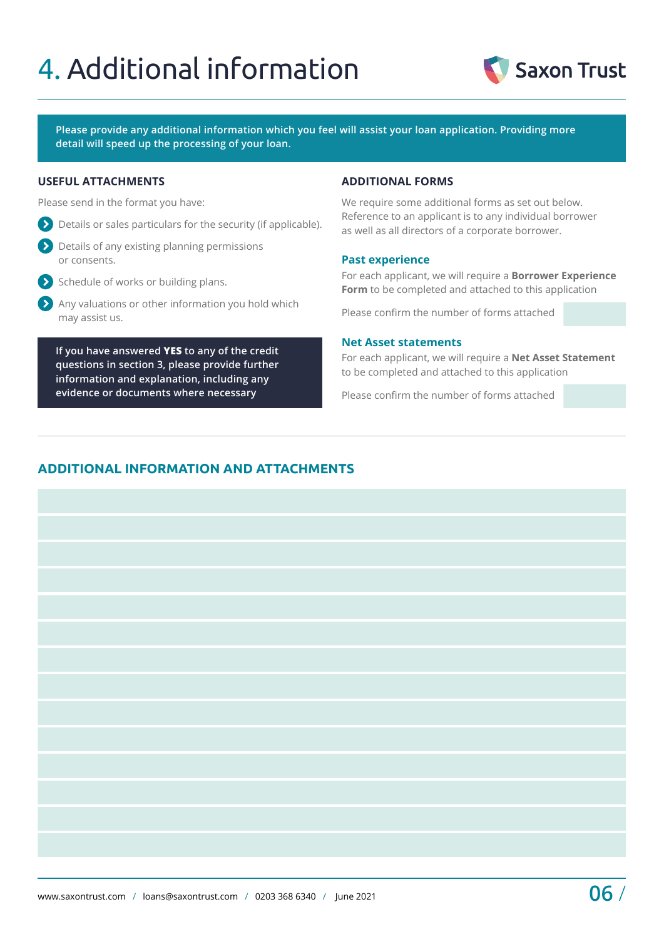# 4. Additional information



**Please provide any additional information which you feel will assist your loan application. Providing more detail will speed up the processing of your loan.**

#### **USEFUL ATTACHMENTS ADDITIONAL FORMS**

Please send in the format you have:

- Details or sales particulars for the security (if applicable).
- Details of any existing planning permissions or consents.
- $\sum$  Schedule of works or building plans.
- Any valuations or other information you hold which may assist us.

**If you have answered YES to any of the credit questions in section 3, please provide further information and explanation, including any evidence or documents where necessary**

We require some additional forms as set out below. Reference to an applicant is to any individual borrower as well as all directors of a corporate borrower.

#### **Past experience**

For each applicant, we will require a **Borrower Experience Form** to be completed and attached to this application

Please confirm the number of forms attached

#### **Net Asset statements**

For each applicant, we will require a **Net Asset Statement** to be completed and attached to this application

Please confirm the number of forms attached

# **ADDITIONAL INFORMATION AND ATTACHMENTS**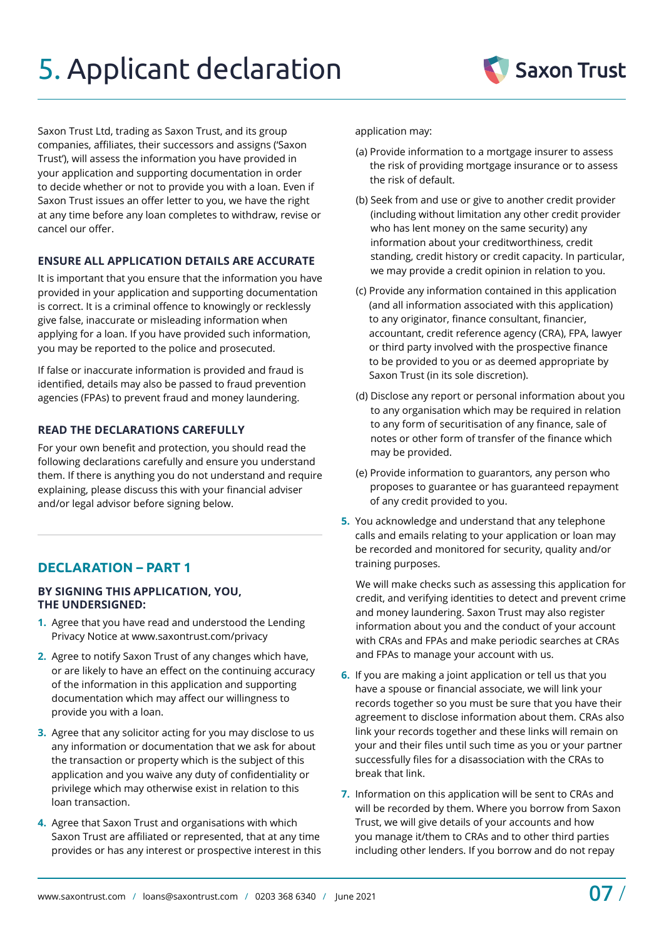# 5. Applicant declaration

Saxon Trust Ltd, trading as Saxon Trust, and its group companies, affiliates, their successors and assigns ('Saxon Trust'), will assess the information you have provided in your application and supporting documentation in order to decide whether or not to provide you with a loan. Even if Saxon Trust issues an offer letter to you, we have the right at any time before any loan completes to withdraw, revise or cancel our offer.

### **ENSURE ALL APPLICATION DETAILS ARE ACCURATE**

It is important that you ensure that the information you have provided in your application and supporting documentation is correct. It is a criminal offence to knowingly or recklessly give false, inaccurate or misleading information when applying for a loan. If you have provided such information, you may be reported to the police and prosecuted.

If false or inaccurate information is provided and fraud is identified, details may also be passed to fraud prevention agencies (FPAs) to prevent fraud and money laundering.

# **READ THE DECLARATIONS CAREFULLY**

For your own benefit and protection, you should read the following declarations carefully and ensure you understand them. If there is anything you do not understand and require explaining, please discuss this with your financial adviser and/or legal advisor before signing below.

# **DECLARATION – PART 1**

#### **BY SIGNING THIS APPLICATION, YOU, THE UNDERSIGNED:**

- **1.** Agree that you have read and understood the Lending Privacy Notice at [www.saxontrust.com/privacy](http://www.saxontrust.com/privacy)
- **2.** Agree to notify Saxon Trust of any changes which have, or are likely to have an effect on the continuing accuracy of the information in this application and supporting documentation which may affect our willingness to provide you with a loan.
- **3.** Agree that any solicitor acting for you may disclose to us any information or documentation that we ask for about the transaction or property which is the subject of this application and you waive any duty of confidentiality or privilege which may otherwise exist in relation to this loan transaction.
- **4.** Agree that Saxon Trust and organisations with which Saxon Trust are affiliated or represented, that at any time provides or has any interest or prospective interest in this

application may:

- (a) Provide information to a mortgage insurer to assess the risk of providing mortgage insurance or to assess the risk of default.
- (b) Seek from and use or give to another credit provider (including without limitation any other credit provider who has lent money on the same security) any information about your creditworthiness, credit standing, credit history or credit capacity. In particular, we may provide a credit opinion in relation to you.
- (c) Provide any information contained in this application (and all information associated with this application) to any originator, finance consultant, financier, accountant, credit reference agency (CRA), FPA, lawyer or third party involved with the prospective finance to be provided to you or as deemed appropriate by Saxon Trust (in its sole discretion).
- (d) Disclose any report or personal information about you to any organisation which may be required in relation to any form of securitisation of any finance, sale of notes or other form of transfer of the finance which may be provided.
- (e) Provide information to guarantors, any person who proposes to guarantee or has guaranteed repayment of any credit provided to you.
- **5.** You acknowledge and understand that any telephone calls and emails relating to your application or loan may be recorded and monitored for security, quality and/or training purposes.

 We will make checks such as assessing this application for credit, and verifying identities to detect and prevent crime and money laundering. Saxon Trust may also register information about you and the conduct of your account with CRAs and FPAs and make periodic searches at CRAs and FPAs to manage your account with us.

- **6.** If you are making a joint application or tell us that you have a spouse or financial associate, we will link your records together so you must be sure that you have their agreement to disclose information about them. CRAs also link your records together and these links will remain on your and their files until such time as you or your partner successfully files for a disassociation with the CRAs to break that link.
- **7.** Information on this application will be sent to CRAs and will be recorded by them. Where you borrow from Saxon Trust, we will give details of your accounts and how you manage it/them to CRAs and to other third parties including other lenders. If you borrow and do not repay